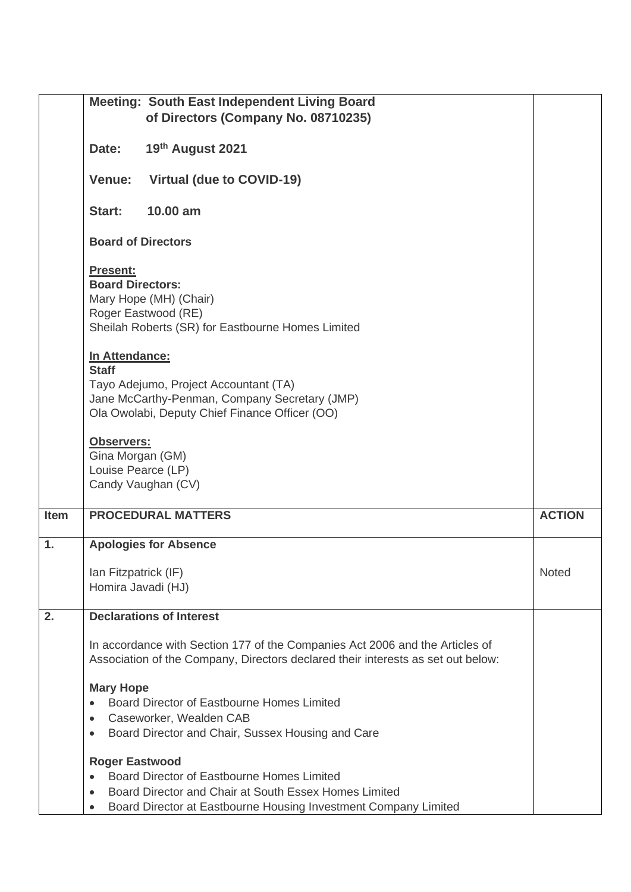|             | <b>Meeting: South East Independent Living Board</b>                                                                                                                        |               |
|-------------|----------------------------------------------------------------------------------------------------------------------------------------------------------------------------|---------------|
|             | of Directors (Company No. 08710235)                                                                                                                                        |               |
|             | 19th August 2021<br>Date:                                                                                                                                                  |               |
|             | Virtual (due to COVID-19)<br>Venue:                                                                                                                                        |               |
|             | 10.00 am<br>Start:                                                                                                                                                         |               |
|             | <b>Board of Directors</b>                                                                                                                                                  |               |
|             | Present:<br><b>Board Directors:</b><br>Mary Hope (MH) (Chair)<br>Roger Eastwood (RE)<br>Sheilah Roberts (SR) for Eastbourne Homes Limited                                  |               |
|             | In Attendance:<br><b>Staff</b><br>Tayo Adejumo, Project Accountant (TA)<br>Jane McCarthy-Penman, Company Secretary (JMP)<br>Ola Owolabi, Deputy Chief Finance Officer (OO) |               |
|             | Observers:<br>Gina Morgan (GM)<br>Louise Pearce (LP)<br>Candy Vaughan (CV)                                                                                                 |               |
| <b>Item</b> | <b>PROCEDURAL MATTERS</b>                                                                                                                                                  | <b>ACTION</b> |
| 1.          | <b>Apologies for Absence</b>                                                                                                                                               |               |
|             | Ian Fitzpatrick (IF)<br>Homira Javadi (HJ)                                                                                                                                 | <b>Noted</b>  |
| 2.          | <b>Declarations of Interest</b>                                                                                                                                            |               |
|             | In accordance with Section 177 of the Companies Act 2006 and the Articles of<br>Association of the Company, Directors declared their interests as set out below:           |               |
|             | <b>Mary Hope</b>                                                                                                                                                           |               |
|             | Board Director of Eastbourne Homes Limited                                                                                                                                 |               |
|             | Caseworker, Wealden CAB<br>$\bullet$<br>Board Director and Chair, Sussex Housing and Care<br>$\bullet$                                                                     |               |
|             |                                                                                                                                                                            |               |
|             | <b>Roger Eastwood</b><br>Board Director of Eastbourne Homes Limited                                                                                                        |               |
|             | Board Director and Chair at South Essex Homes Limited                                                                                                                      |               |
|             | Board Director at Eastbourne Housing Investment Company Limited<br>$\bullet$                                                                                               |               |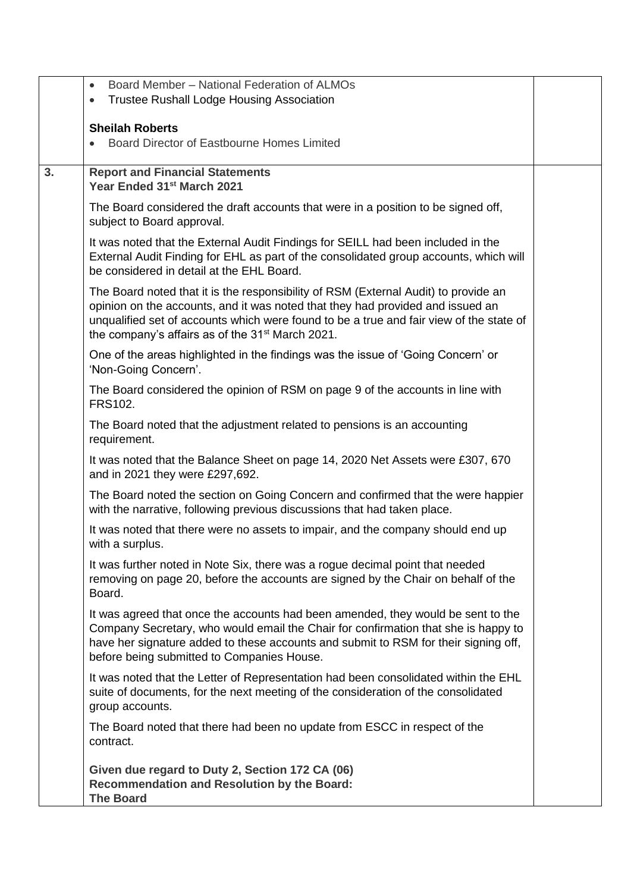|    | Board Member - National Federation of ALMOs<br>$\bullet$                                                                                                                                                                                                                                                                         |  |
|----|----------------------------------------------------------------------------------------------------------------------------------------------------------------------------------------------------------------------------------------------------------------------------------------------------------------------------------|--|
|    | <b>Trustee Rushall Lodge Housing Association</b><br>$\bullet$                                                                                                                                                                                                                                                                    |  |
|    |                                                                                                                                                                                                                                                                                                                                  |  |
|    | <b>Sheilah Roberts</b><br>Board Director of Eastbourne Homes Limited                                                                                                                                                                                                                                                             |  |
|    |                                                                                                                                                                                                                                                                                                                                  |  |
| 3. | <b>Report and Financial Statements</b><br>Year Ended 31st March 2021                                                                                                                                                                                                                                                             |  |
|    | The Board considered the draft accounts that were in a position to be signed off,<br>subject to Board approval.                                                                                                                                                                                                                  |  |
|    | It was noted that the External Audit Findings for SEILL had been included in the<br>External Audit Finding for EHL as part of the consolidated group accounts, which will<br>be considered in detail at the EHL Board.                                                                                                           |  |
|    | The Board noted that it is the responsibility of RSM (External Audit) to provide an<br>opinion on the accounts, and it was noted that they had provided and issued an<br>unqualified set of accounts which were found to be a true and fair view of the state of<br>the company's affairs as of the 31 <sup>st</sup> March 2021. |  |
|    | One of the areas highlighted in the findings was the issue of 'Going Concern' or<br>'Non-Going Concern'.                                                                                                                                                                                                                         |  |
|    | The Board considered the opinion of RSM on page 9 of the accounts in line with<br><b>FRS102.</b>                                                                                                                                                                                                                                 |  |
|    | The Board noted that the adjustment related to pensions is an accounting<br>requirement.                                                                                                                                                                                                                                         |  |
|    | It was noted that the Balance Sheet on page 14, 2020 Net Assets were £307, 670<br>and in 2021 they were £297,692.                                                                                                                                                                                                                |  |
|    | The Board noted the section on Going Concern and confirmed that the were happier<br>with the narrative, following previous discussions that had taken place.                                                                                                                                                                     |  |
|    | It was noted that there were no assets to impair, and the company should end up<br>with a surplus.                                                                                                                                                                                                                               |  |
|    | It was further noted in Note Six, there was a rogue decimal point that needed<br>removing on page 20, before the accounts are signed by the Chair on behalf of the<br>Board.                                                                                                                                                     |  |
|    | It was agreed that once the accounts had been amended, they would be sent to the<br>Company Secretary, who would email the Chair for confirmation that she is happy to<br>have her signature added to these accounts and submit to RSM for their signing off,<br>before being submitted to Companies House.                      |  |
|    | It was noted that the Letter of Representation had been consolidated within the EHL<br>suite of documents, for the next meeting of the consideration of the consolidated<br>group accounts.                                                                                                                                      |  |
|    | The Board noted that there had been no update from ESCC in respect of the<br>contract.                                                                                                                                                                                                                                           |  |
|    | Given due regard to Duty 2, Section 172 CA (06)<br><b>Recommendation and Resolution by the Board:</b><br><b>The Board</b>                                                                                                                                                                                                        |  |